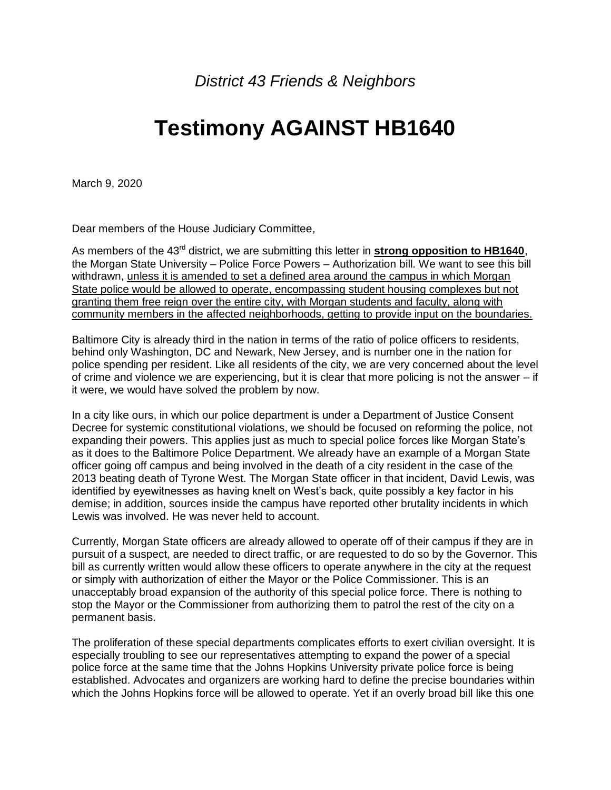*District 43 Friends & Neighbors*

## **Testimony AGAINST HB1640**

March 9, 2020

Dear members of the House Judiciary Committee,

As members of the 43<sup>rd</sup> district, we are submitting this letter in **strong opposition to HB1640**, the Morgan State University – Police Force Powers – Authorization bill. We want to see this bill withdrawn, unless it is amended to set a defined area around the campus in which Morgan State police would be allowed to operate, encompassing student housing complexes but not granting them free reign over the entire city, with Morgan students and faculty, along with community members in the affected neighborhoods, getting to provide input on the boundaries.

Baltimore City is already third in the nation in terms of the ratio of police officers to residents, behind only Washington, DC and Newark, New Jersey, and is number one in the nation for police spending per resident. Like all residents of the city, we are very concerned about the level of crime and violence we are experiencing, but it is clear that more policing is not the answer – if it were, we would have solved the problem by now.

In a city like ours, in which our police department is under a Department of Justice Consent Decree for systemic constitutional violations, we should be focused on reforming the police, not expanding their powers. This applies just as much to special police forces like Morgan State's as it does to the Baltimore Police Department. We already have an example of a Morgan State officer going off campus and being involved in the death of a city resident in the case of the 2013 beating death of Tyrone West. The Morgan State officer in that incident, David Lewis, was identified by eyewitnesses as having knelt on West's back, quite possibly a key factor in his demise; in addition, sources inside the campus have reported other brutality incidents in which Lewis was involved. He was never held to account.

Currently, Morgan State officers are already allowed to operate off of their campus if they are in pursuit of a suspect, are needed to direct traffic, or are requested to do so by the Governor. This bill as currently written would allow these officers to operate anywhere in the city at the request or simply with authorization of either the Mayor or the Police Commissioner. This is an unacceptably broad expansion of the authority of this special police force. There is nothing to stop the Mayor or the Commissioner from authorizing them to patrol the rest of the city on a permanent basis.

The proliferation of these special departments complicates efforts to exert civilian oversight. It is especially troubling to see our representatives attempting to expand the power of a special police force at the same time that the Johns Hopkins University private police force is being established. Advocates and organizers are working hard to define the precise boundaries within which the Johns Hopkins force will be allowed to operate. Yet if an overly broad bill like this one